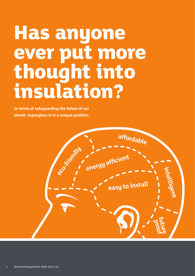## **Has anyone ever put more thought into insulation?**

**In terms of safeguarding the future of our planet, Superglass is in a unique position.**

**energy efficient affordable easy to install intellligent future proof** eco-Kriendly